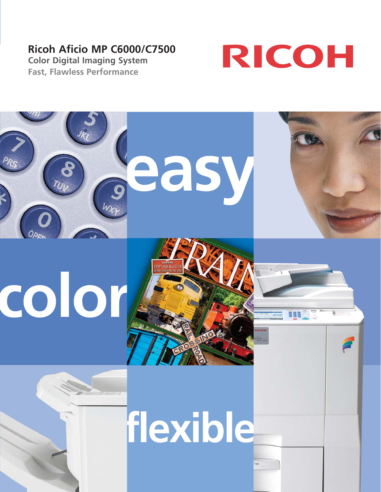# **Ricoh Aficio MP C6000/C7500**

**Color Digital Imaging System Fast, Flawless Performance**



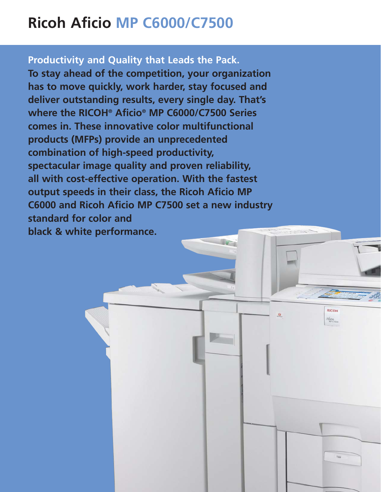# **Ricoh Aficio MP C6000/C7500**

## **Productivity and Quality that Leads the Pack.**

**To stay ahead of the competition, your organization has to move quickly, work harder, stay focused and deliver outstanding results, every single day. That's where the RICOH® Aficio® MP C6000/C7500 Series comes in. These innovative color multifunctional products (MFPs) provide an unprecedented combination of high-speed productivity, spectacular image quality and proven reliability, all with cost-effective operation. With the fastest output speeds in their class, the Ricoh Aficio MP C6000 and Ricoh Aficio MP C7500 set a new industry standard for color and black & white performance.**

> RICOH Aficio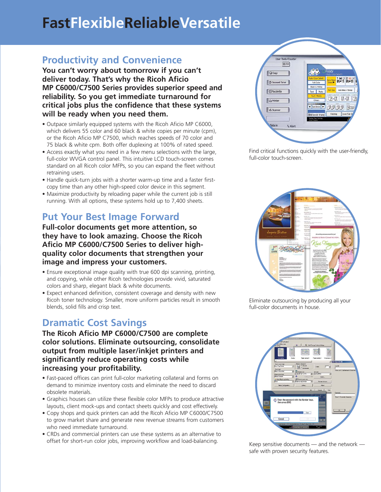# **FastFlexibleReliableVersatile**

## **Productivity and Convenience**

**You can't worry about tomorrow if you can't deliver today. That's why the Ricoh Aficio MP C6000/C7500 Series provides superior speed and reliability. So you get immediate turnaround for critical jobs plus the confidence that these systems will be ready when you need them.** 

- Outpace similarly equipped systems with the Ricoh Aficio MP C6000, which delivers 55 color and 60 black & white copies per minute (cpm), or the Ricoh Aficio MP C7500, which reaches speeds of 70 color and 75 black & white cpm. Both offer duplexing at 100% of rated speed.
- Access exactly what you need in a few menu selections with the large, full-color WVGA control panel. This intuitive LCD touch-screen comes standard on all Ricoh color MFPs, so you can expand the fleet without retraining users.
- Handle quick-turn jobs with a shorter warm-up time and a faster firstcopy time than any other high-speed color device in this segment.
- Maximize productivity by reloading paper while the current job is still running. With all options, these systems hold up to 7,400 sheets.

## **Put Your Best Image Forward**

**Full-color documents get more attention, so they have to look amazing. Choose the Ricoh Aficio MP C6000/C7500 Series to deliver highquality color documents that strengthen your image and impress your customers.**

- Ensure exceptional image quality with true 600 dpi scanning, printing, and copying, while other Ricoh technologies provide vivid, saturated colors and sharp, elegant black & white documents.
- Expect enhanced definition, consistent coverage and density with new Ricoh toner technology. Smaller, more uniform particles result in smooth blends, solid fills and crisp text.

## **Dramatic Cost Savings**

**The Ricoh Aficio MP C6000/C7500 are complete color solutions. Eliminate outsourcing, consolidate output from multiple laser/inkjet printers and significantly reduce operating costs while increasing your profitability.**

- Fast-paced offices can print full-color marketing collateral and forms on demand to minimize inventory costs and eliminate the need to discard obsolete materials.
- Graphics houses can utilize these flexible color MFPs to produce attractive layouts, client mock-ups and contact sheets quickly and cost effectively.
- Copy shops and quick printers can add the Ricoh Aficio MP C6000/C7500 to grow market share and generate new revenue streams from customers who need immediate turnaround.
- CRDs and commercial printers can use these systems as an alternative to offset for short-run color jobs, improving workflow and load-balancing.



Find critical functions quickly with the user-friendly, full-color touch-screen.



Eliminate outsourcing by producing all your full-color documents in house.



Keep sensitive documents — and the network safe with proven security features.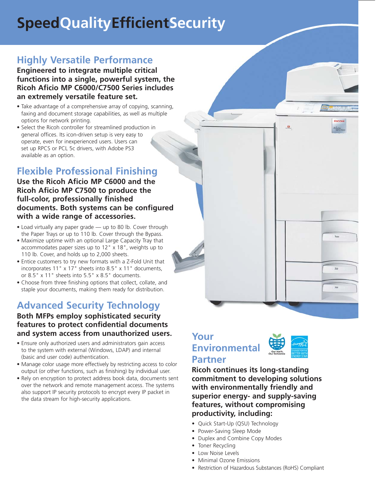# **SpeedQualityEfficientSecurity**

# **Highly Versatile Performance**

**Engineered to integrate multiple critical functions into a single, powerful system, the Ricoh Aficio MP C6000/C7500 Series includes an extremely versatile feature set.**

- Take advantage of a comprehensive array of copying, scanning, faxing and document storage capabilities, as well as multiple options for network printing.
- Select the Ricoh controller for streamlined production in general offices. Its icon-driven setup is very easy to operate, even for inexperienced users. Users can set up RPCS or PCL 5c drivers, with Adobe PS3 available as an option.

# **Flexible Professional Finishing**

## **Use the Ricoh Aficio MP C6000 and the Ricoh Aficio MP C7500 to produce the full-color, professionally finished documents. Both systems can be configured with a wide range of accessories.**

- Load virtually any paper grade up to 80 lb. Cover through the Paper Trays or up to 110 lb. Cover through the Bypass.
- Maximize uptime with an optional Large Capacity Tray that accommodates paper sizes up to 12" x 18", weights up to 110 lb. Cover, and holds up to 2,000 sheets.
- Entice customers to try new formats with a Z-Fold Unit that incorporates 11" x 17" sheets into 8.5" x 11" documents, or 8.5" x 11" sheets into 5.5" x 8.5" documents.
- Choose from three finishing options that collect, collate, and staple your documents, making them ready for distribution.

# **Advanced Security Technology**

## **Both MFPs employ sophisticated security features to protect confidential documents and system access from unauthorized users.**

- Ensure only authorized users and administrators gain access to the system with external (Windows, LDAP) and internal (basic and user code) authentication.
- Manage color usage more effectively by restricting access to color output (or other functions, such as finishing) by individual user.
- Rely on encryption to protect address book data, documents sent over the network and remote management access. The systems also support IP security protocols to encrypt every IP packet in the data stream for high-security applications.

## **Your Environmental Partner**



 $\alpha$ 

**RICOH** 

Micio

**Ricoh continues its long-standing commitment to developing solutions with environmentally friendly and superior energy- and supply-saving features, without compromising productivity, including:** 

- Quick Start-Up (QSU) Technology
- Power-Saving Sleep Mode
- Duplex and Combine Copy Modes
- Toner Recycling
- Low Noise Levels
- Minimal Ozone Emissions
- Restriction of Hazardous Substances (RoHS) Compliant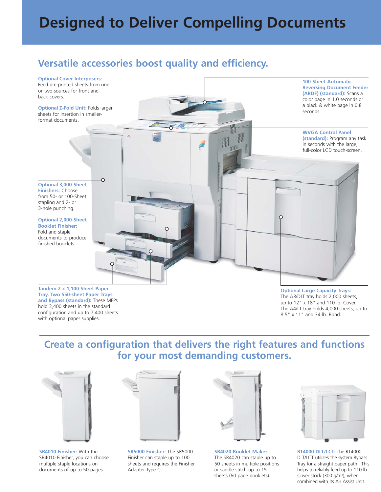# **Designed to Deliver Compelling Documents**

## **Versatile accessories boost quality and efficiency.**



**Tray, Two 550-sheet Paper Trays and Bypass (standard):** These MFPs hold 3,400 sheets in the standard configuration and up to 7,400 sheets with optional paper supplies.

**Optional Large Capacity Trays:** The A3/DLT tray holds 2,000 sheets, up to 12" x 18" and 110 lb. Cover. The A4/LT tray holds 4,000 sheets, up to 8.5" x 11" and 34 lb. Bond.

**Create a configuration that delivers the right features and functions for your most demanding customers.**



**SR4010 Finisher:** With the SR4010 Finisher, you can choose multiple staple locations on documents of up to 50 pages.



**SR5000 Finisher:** The SR5000 Finisher can staple up to 100 sheets and requires the Finisher Adapter Type C.



**SR4020 Booklet Maker:**  The SR4020 can staple up to 50 sheets in multiple positions or saddle stitch up to 15 sheets (60 page booklets).



**RT4000 DLT/LCT:** The RT4000 DLT/LCT utilizes the system Bypass Tray for a straight paper path. This helps to reliably feed up to 110 lb. Cover stock (300 g/m<sup>2</sup>), when combined with its Air Assist Unit.